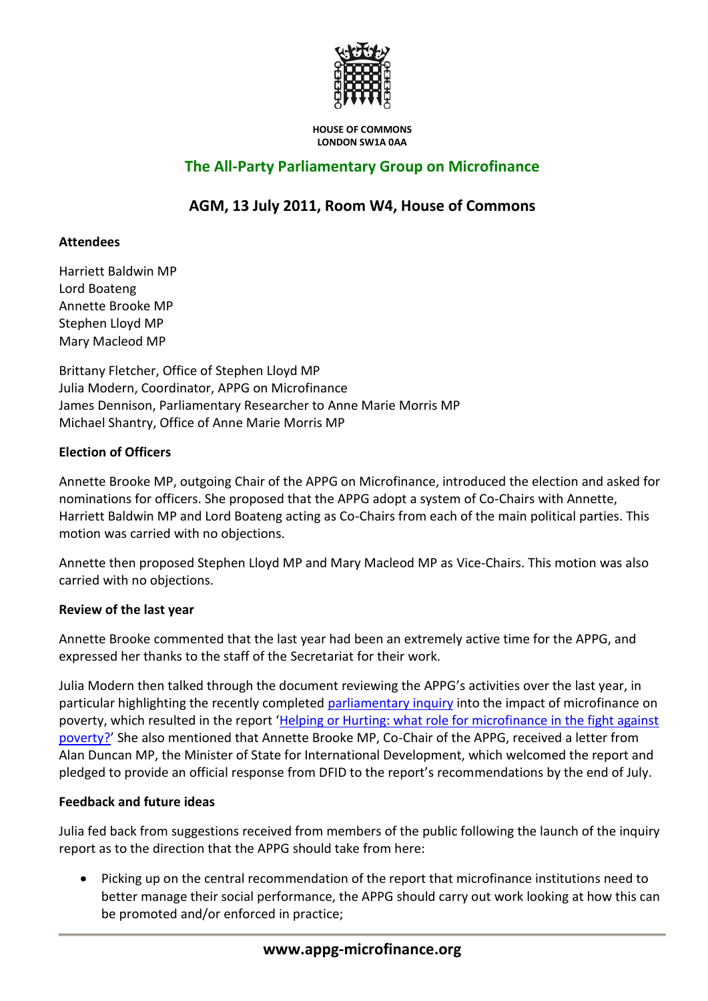

#### **HOUSE OF COMMONS LONDON SW1A 0AA**

# **The All-Party Parliamentary Group on Microfinance**

# **AGM, 13 July 2011, Room W4, House of Commons**

## **Attendees**

Harriett Baldwin MP Lord Boateng Annette Brooke MP Stephen Lloyd MP Mary Macleod MP

Brittany Fletcher, Office of Stephen Lloyd MP Julia Modern, Coordinator, APPG on Microfinance James Dennison, Parliamentary Researcher to Anne Marie Morris MP Michael Shantry, Office of Anne Marie Morris MP

# **Election of Officers**

Annette Brooke MP, outgoing Chair of the APPG on Microfinance, introduced the election and asked for nominations for officers. She proposed that the APPG adopt a system of Co-Chairs with Annette, Harriett Baldwin MP and Lord Boateng acting as Co-Chairs from each of the main political parties. This motion was carried with no objections.

Annette then proposed Stephen Lloyd MP and Mary Macleod MP as Vice-Chairs. This motion was also carried with no objections.

## **Review of the last year**

Annette Brooke commented that the last year had been an extremely active time for the APPG, and expressed her thanks to the staff of the Secretariat for their work.

Julia Modern then talked through the document reviewing the APPG's activities over the last year, in particular highlighting the recently completed [parliamentary inquiry](http://www.appg-microfinance.org/inquiry.php) into the impact of microfinance on poverty, which resulted in the report 'Helping or Hurting: what role for microfinance in the fight against [poverty?](http://www.appg-microfinance.org/files/APPG%20on%20Microfinance%20inquiry%20report%202011%20-%20low%20res(1).pdf)' She also mentioned that Annette Brooke MP, Co-Chair of the APPG, received a letter from Alan Duncan MP, the Minister of State for International Development, which welcomed the report and pledged to provide an official response from DFID to the report's recommendations by the end of July.

## **Feedback and future ideas**

Julia fed back from suggestions received from members of the public following the launch of the inquiry report as to the direction that the APPG should take from here:

 Picking up on the central recommendation of the report that microfinance institutions need to better manage their social performance, the APPG should carry out work looking at how this can be promoted and/or enforced in practice;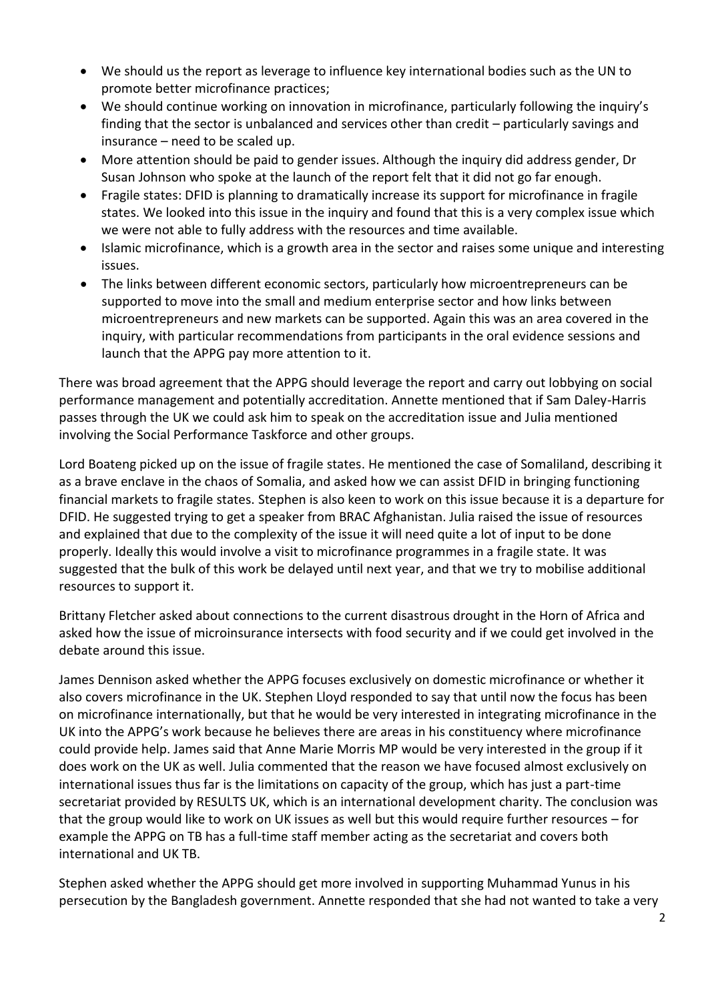- We should us the report as leverage to influence key international bodies such as the UN to promote better microfinance practices;
- We should continue working on innovation in microfinance, particularly following the inquiry's finding that the sector is unbalanced and services other than credit – particularly savings and insurance – need to be scaled up.
- More attention should be paid to gender issues. Although the inquiry did address gender, Dr Susan Johnson who spoke at the launch of the report felt that it did not go far enough.
- Fragile states: DFID is planning to dramatically increase its support for microfinance in fragile states. We looked into this issue in the inquiry and found that this is a very complex issue which we were not able to fully address with the resources and time available.
- Islamic microfinance, which is a growth area in the sector and raises some unique and interesting issues.
- The links between different economic sectors, particularly how microentrepreneurs can be supported to move into the small and medium enterprise sector and how links between microentrepreneurs and new markets can be supported. Again this was an area covered in the inquiry, with particular recommendations from participants in the oral evidence sessions and launch that the APPG pay more attention to it.

There was broad agreement that the APPG should leverage the report and carry out lobbying on social performance management and potentially accreditation. Annette mentioned that if Sam Daley-Harris passes through the UK we could ask him to speak on the accreditation issue and Julia mentioned involving the Social Performance Taskforce and other groups.

Lord Boateng picked up on the issue of fragile states. He mentioned the case of Somaliland, describing it as a brave enclave in the chaos of Somalia, and asked how we can assist DFID in bringing functioning financial markets to fragile states. Stephen is also keen to work on this issue because it is a departure for DFID. He suggested trying to get a speaker from BRAC Afghanistan. Julia raised the issue of resources and explained that due to the complexity of the issue it will need quite a lot of input to be done properly. Ideally this would involve a visit to microfinance programmes in a fragile state. It was suggested that the bulk of this work be delayed until next year, and that we try to mobilise additional resources to support it.

Brittany Fletcher asked about connections to the current disastrous drought in the Horn of Africa and asked how the issue of microinsurance intersects with food security and if we could get involved in the debate around this issue.

James Dennison asked whether the APPG focuses exclusively on domestic microfinance or whether it also covers microfinance in the UK. Stephen Lloyd responded to say that until now the focus has been on microfinance internationally, but that he would be very interested in integrating microfinance in the UK into the APPG's work because he believes there are areas in his constituency where microfinance could provide help. James said that Anne Marie Morris MP would be very interested in the group if it does work on the UK as well. Julia commented that the reason we have focused almost exclusively on international issues thus far is the limitations on capacity of the group, which has just a part-time secretariat provided by RESULTS UK, which is an international development charity. The conclusion was that the group would like to work on UK issues as well but this would require further resources – for example the APPG on TB has a full-time staff member acting as the secretariat and covers both international and UK TB.

Stephen asked whether the APPG should get more involved in supporting Muhammad Yunus in his persecution by the Bangladesh government. Annette responded that she had not wanted to take a very